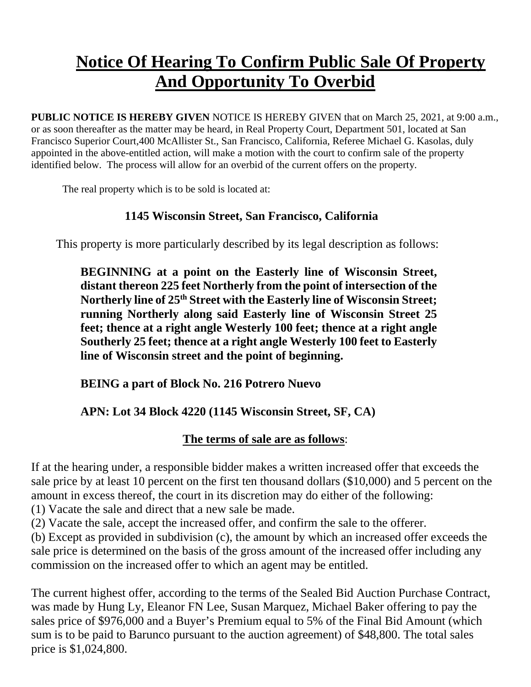## **Notice Of Hearing To Confirm Public Sale Of Property And Opportunity To Overbid**

**PUBLIC NOTICE IS HEREBY GIVEN** NOTICE IS HEREBY GIVEN that on March 25, 2021, at 9:00 a.m., or as soon thereafter as the matter may be heard, in Real Property Court, Department 501, located at San Francisco Superior Court,400 McAllister St., San Francisco, California, Referee Michael G. Kasolas, duly appointed in the above-entitled action, will make a motion with the court to confirm sale of the property identified below. The process will allow for an overbid of the current offers on the property.

The real property which is to be sold is located at:

## **1145 Wisconsin Street, San Francisco, California**

This property is more particularly described by its legal description as follows:

**BEGINNING at a point on the Easterly line of Wisconsin Street, distant thereon 225 feet Northerly from the point of intersection of the Northerly line of 25th Street with the Easterly line of Wisconsin Street; running Northerly along said Easterly line of Wisconsin Street 25 feet; thence at a right angle Westerly 100 feet; thence at a right angle Southerly 25 feet; thence at a right angle Westerly 100 feet to Easterly line of Wisconsin street and the point of beginning.**

**BEING a part of Block No. 216 Potrero Nuevo**

## **APN: Lot 34 Block 4220 (1145 Wisconsin Street, SF, CA)**

## **The terms of sale are as follows**:

If at the hearing under, a responsible bidder makes a written increased offer that exceeds the sale price by at least 10 percent on the first ten thousand dollars (\$10,000) and 5 percent on the amount in excess thereof, the court in its discretion may do either of the following:

(1) Vacate the sale and direct that a new sale be made.

(2) Vacate the sale, accept the increased offer, and confirm the sale to the offerer.

(b) Except as provided in subdivision (c), the amount by which an increased offer exceeds the sale price is determined on the basis of the gross amount of the increased offer including any commission on the increased offer to which an agent may be entitled.

The current highest offer, according to the terms of the Sealed Bid Auction Purchase Contract, was made by Hung Ly, Eleanor FN Lee, Susan Marquez, Michael Baker offering to pay the sales price of \$976,000 and a Buyer's Premium equal to 5% of the Final Bid Amount (which sum is to be paid to Barunco pursuant to the auction agreement) of \$48,800. The total sales price is \$1,024,800.